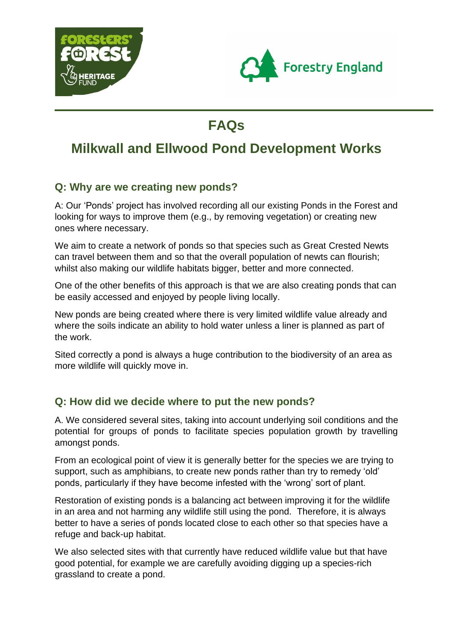



# **FAQs**

# **Milkwall and Ellwood Pond Development Works**

# **Q: Why are we creating new ponds?**

A: Our 'Ponds' project has involved recording all our existing Ponds in the Forest and looking for ways to improve them (e.g., by removing vegetation) or creating new ones where necessary.

We aim to create a network of ponds so that species such as Great Crested Newts can travel between them and so that the overall population of newts can flourish; whilst also making our wildlife habitats bigger, better and more connected.

One of the other benefits of this approach is that we are also creating ponds that can be easily accessed and enjoyed by people living locally.

New ponds are being created where there is very limited wildlife value already and where the soils indicate an ability to hold water unless a liner is planned as part of the work.

Sited correctly a pond is always a huge contribution to the biodiversity of an area as more wildlife will quickly move in.

#### **Q: How did we decide where to put the new ponds?**

A. We considered several sites, taking into account underlying soil conditions and the potential for groups of ponds to facilitate species population growth by travelling amongst ponds.

From an ecological point of view it is generally better for the species we are trying to support, such as amphibians, to create new ponds rather than try to remedy 'old' ponds, particularly if they have become infested with the 'wrong' sort of plant.

Restoration of existing ponds is a balancing act between improving it for the wildlife in an area and not harming any wildlife still using the pond. Therefore, it is always better to have a series of ponds located close to each other so that species have a refuge and back-up habitat.

We also selected sites with that currently have reduced wildlife value but that have good potential, for example we are carefully avoiding digging up a species-rich grassland to create a pond.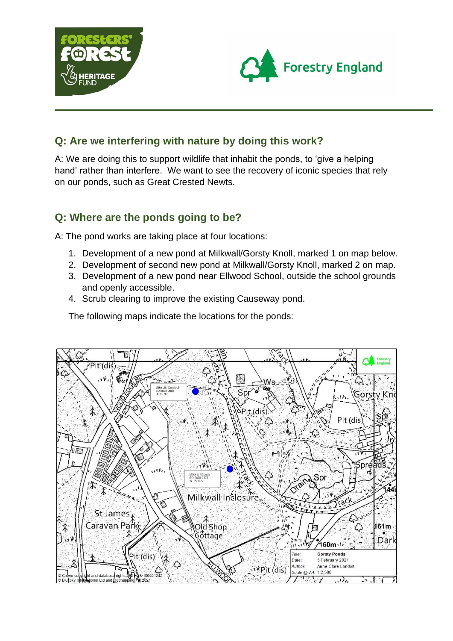



## **Q: Are we interfering with nature by doing this work?**

A: We are doing this to support wildlife that inhabit the ponds, to 'give a helping hand' rather than interfere. We want to see the recovery of iconic species that rely on our ponds, such as Great Crested Newts.

## **Q: Where are the ponds going to be?**

A: The pond works are taking place at four locations:

- 1. Development of a new pond at Milkwall/Gorsty Knoll, marked 1 on map below.
- 2. Development of second new pond at Milkwall/Gorsty Knoll, marked 2 on map.
- 3. Development of a new pond near Ellwood School, outside the school grounds and openly accessible.
- 4. Scrub clearing to improve the existing Causeway pond.

The following maps indicate the locations for the ponds:

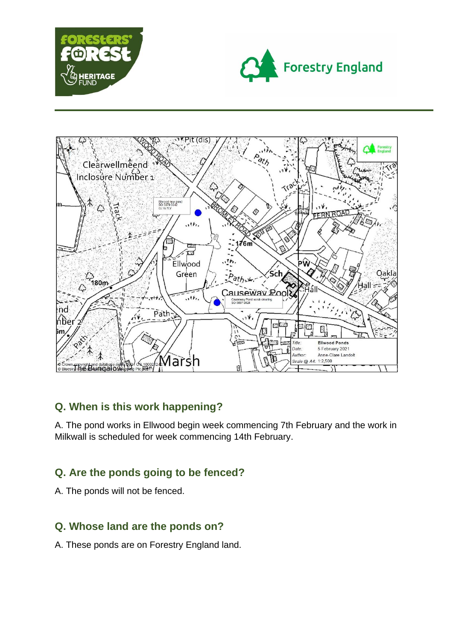





# **Q. When is this work happening?**

A. The pond works in Ellwood begin week commencing 7th February and the work in Milkwall is scheduled for week commencing 14th February.

# **Q. Are the ponds going to be fenced?**

A. The ponds will not be fenced.

# **Q. Whose land are the ponds on?**

A. These ponds are on Forestry England land.